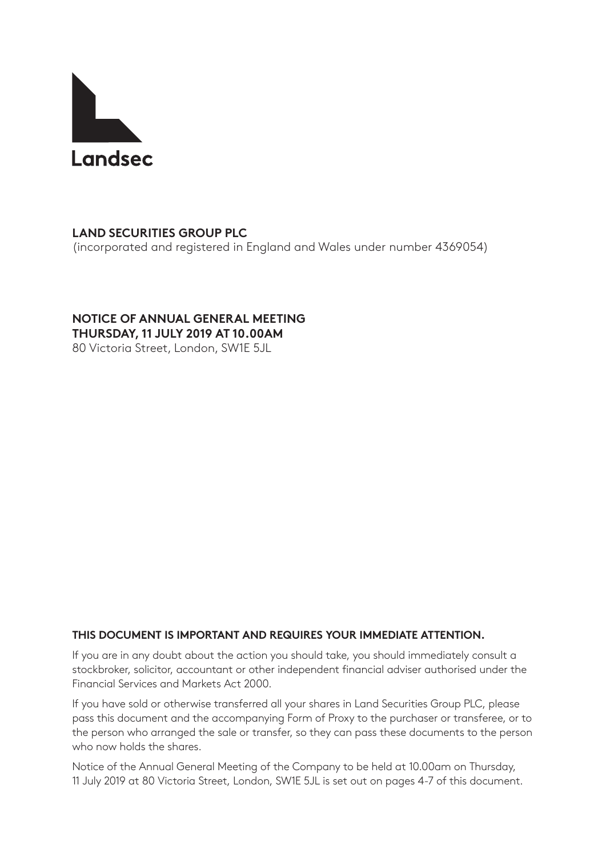

# **LAND SECURITIES GROUP PLC**

(incorporated and registered in England and Wales under number 4369054)

## **NOTICE OF ANNUAL GENERAL MEETING THURSDAY, 11 JULY 2019 AT 10.00AM**

80 Victoria Street, London, SW1E 5JL

# **THIS DOCUMENT IS IMPORTANT AND REQUIRES YOUR IMMEDIATE ATTENTION.**

If you are in any doubt about the action you should take, you should immediately consult a stockbroker, solicitor, accountant or other independent financial adviser authorised under the Financial Services and Markets Act 2000.

If you have sold or otherwise transferred all your shares in Land Securities Group PLC, please pass this document and the accompanying Form of Proxy to the purchaser or transferee, or to the person who arranged the sale or transfer, so they can pass these documents to the person who now holds the shares.

Notice of the Annual General Meeting of the Company to be held at 10.00am on Thursday, 11 July 2019 at 80 Victoria Street, London, SW1E 5JL is set out on pages 4-7 of this document.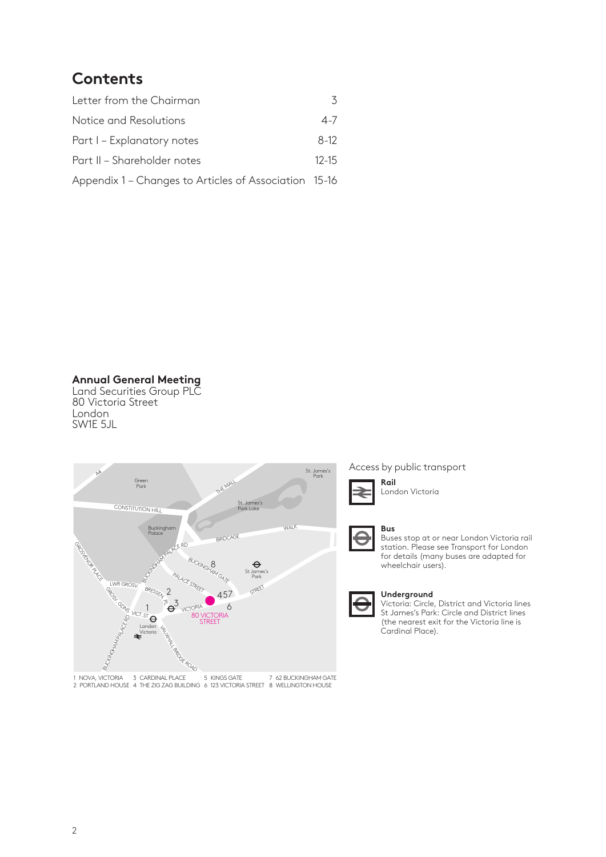# **Contents**

| Letter from the Chairman                              |           |  |
|-------------------------------------------------------|-----------|--|
| Notice and Resolutions                                | $4 - 7$   |  |
| Part I – Explanatory notes                            | $8-12$    |  |
| Part II – Shareholder notes                           | $12 - 15$ |  |
| Appendix 1 - Changes to Articles of Association 15-16 |           |  |

**Annual General Meeting**

Land Securities Group PLC 80 Victoria Street London SW1E 5JL



1 NOVA, VICTORIA 3 CARDINAL PLACE 5 KINGS GATE 7 62 BUCKINGHAM GATE<br>2 PORTLAND HOUSE 4 THE ZIG ZAG BUILDING 6 123 VICTORIA STREET 8 WELLINGTON HOUSE

Access by public transport



London Victoria



Buses stop at or near London Victoria rail station. Please see Transport for London for details (many buses are adapted for wheelchair users).



#### **Underground**

Victoria: Circle, District and Victoria lines St James's Park: Circle and District lines (the nearest exit for the Victoria line is Cardinal Place).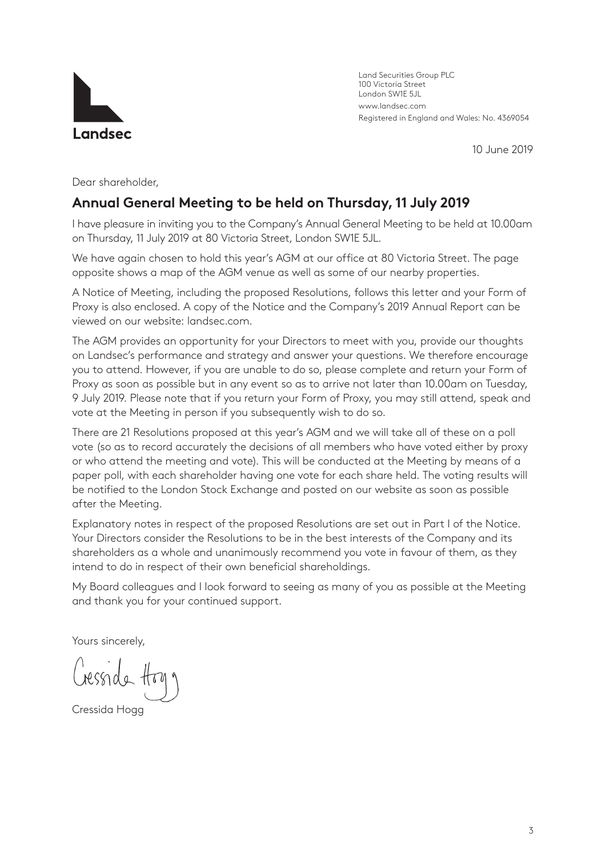

Land Securities Group PLC 100 Victoria Street London SW1E 5JL www.landsec.com Registered in England and Wales: No. 4369054

10 June 2019

Dear shareholder,

# **Annual General Meeting to be held on Thursday, 11 July 2019**

I have pleasure in inviting you to the Company's Annual General Meeting to be held at 10.00am on Thursday, 11 July 2019 at 80 Victoria Street, London SW1E 5JL.

We have again chosen to hold this year's AGM at our office at 80 Victoria Street. The page opposite shows a map of the AGM venue as well as some of our nearby properties.

A Notice of Meeting, including the proposed Resolutions, follows this letter and your Form of Proxy is also enclosed. A copy of the Notice and the Company's 2019 Annual Report can be viewed on our website: landsec.com.

The AGM provides an opportunity for your Directors to meet with you, provide our thoughts on Landsec's performance and strategy and answer your questions. We therefore encourage you to attend. However, if you are unable to do so, please complete and return your Form of Proxy as soon as possible but in any event so as to arrive not later than 10.00am on Tuesday, 9 July 2019. Please note that if you return your Form of Proxy, you may still attend, speak and vote at the Meeting in person if you subsequently wish to do so.

There are 21 Resolutions proposed at this year's AGM and we will take all of these on a poll vote (so as to record accurately the decisions of all members who have voted either by proxy or who attend the meeting and vote). This will be conducted at the Meeting by means of a paper poll, with each shareholder having one vote for each share held. The voting results will be notified to the London Stock Exchange and posted on our website as soon as possible after the Meeting.

Explanatory notes in respect of the proposed Resolutions are set out in Part I of the Notice. Your Directors consider the Resolutions to be in the best interests of the Company and its shareholders as a whole and unanimously recommend you vote in favour of them, as they intend to do in respect of their own beneficial shareholdings.

My Board colleagues and I look forward to seeing as many of you as possible at the Meeting and thank you for your continued support.

Yours sincerely,

Cressida Hogg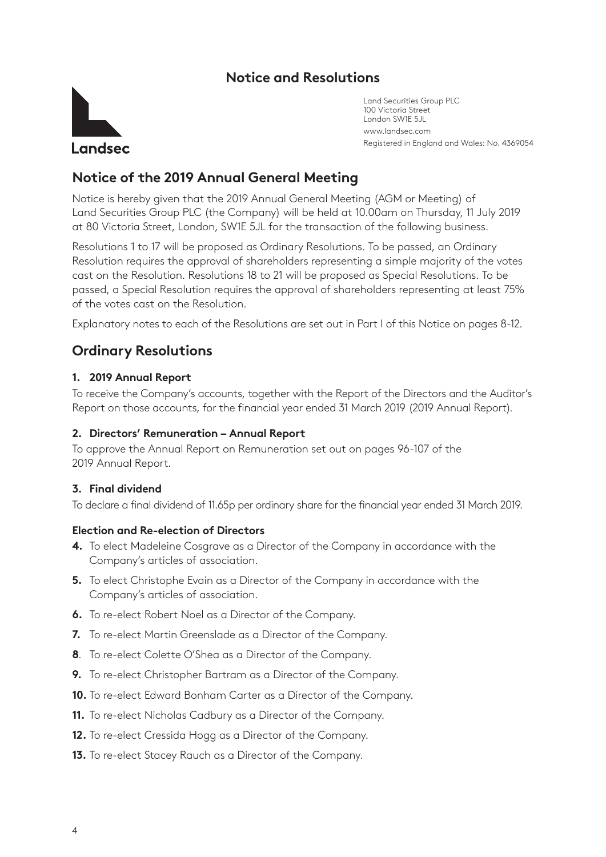# **Notice and Resolutions**



Land Securities Group PLC 100 Victoria Street London SW1E 5JL www.landsec.com Registered in England and Wales: No. 4369054

# **Notice of the 2019 Annual General Meeting**

Notice is hereby given that the 2019 Annual General Meeting (AGM or Meeting) of Land Securities Group PLC (the Company) will be held at 10.00am on Thursday, 11 July 2019 at 80 Victoria Street, London, SW1E 5JL for the transaction of the following business.

Resolutions 1 to 17 will be proposed as Ordinary Resolutions. To be passed, an Ordinary Resolution requires the approval of shareholders representing a simple majority of the votes cast on the Resolution. Resolutions 18 to 21 will be proposed as Special Resolutions. To be passed, a Special Resolution requires the approval of shareholders representing at least 75% of the votes cast on the Resolution.

Explanatory notes to each of the Resolutions are set out in Part I of this Notice on pages 8-12.

# **Ordinary Resolutions**

### **1. 2019 Annual Report**

To receive the Company's accounts, together with the Report of the Directors and the Auditor's Report on those accounts, for the financial year ended 31 March 2019 (2019 Annual Report).

### **2. Directors' Remuneration – Annual Report**

To approve the Annual Report on Remuneration set out on pages 96-107 of the 2019 Annual Report.

# **3. Final dividend**

To declare a final dividend of 11.65p per ordinary share for the financial year ended 31 March 2019.

#### **Election and Re-election of Directors**

- **4.** To elect Madeleine Cosgrave as a Director of the Company in accordance with the Company's articles of association.
- **5.** To elect Christophe Evain as a Director of the Company in accordance with the Company's articles of association.
- **6.** To re-elect Robert Noel as a Director of the Company.
- **7.** To re-elect Martin Greenslade as a Director of the Company.
- **8**. To re-elect Colette O'Shea as a Director of the Company.
- **9.** To re-elect Christopher Bartram as a Director of the Company.
- **10.** To re-elect Edward Bonham Carter as a Director of the Company.
- **11.** To re-elect Nicholas Cadbury as a Director of the Company.
- **12.** To re-elect Cressida Hogg as a Director of the Company.
- **13.** To re-elect Stacey Rauch as a Director of the Company.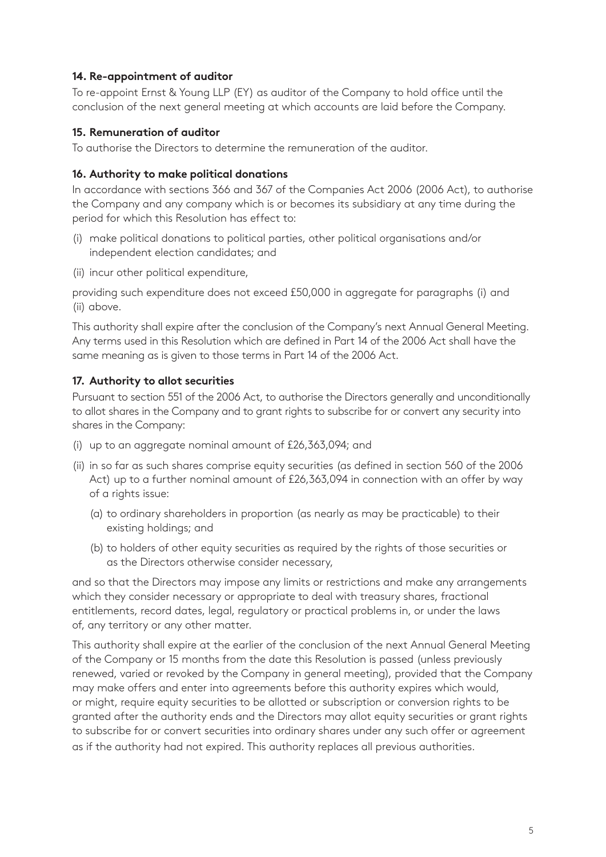## **14. Re-appointment of auditor**

To re-appoint Ernst & Young LLP (EY) as auditor of the Company to hold office until the conclusion of the next general meeting at which accounts are laid before the Company.

### **15. Remuneration of auditor**

To authorise the Directors to determine the remuneration of the auditor.

### **16. Authority to make political donations**

In accordance with sections 366 and 367 of the Companies Act 2006 (2006 Act), to authorise the Company and any company which is or becomes its subsidiary at any time during the period for which this Resolution has effect to:

- (i) make political donations to political parties, other political organisations and/or independent election candidates; and
- (ii) incur other political expenditure,

providing such expenditure does not exceed £50,000 in aggregate for paragraphs (i) and (ii) above.

This authority shall expire after the conclusion of the Company's next Annual General Meeting. Any terms used in this Resolution which are defined in Part 14 of the 2006 Act shall have the same meaning as is given to those terms in Part 14 of the 2006 Act.

# **17. Authority to allot securities**

Pursuant to section 551 of the 2006 Act, to authorise the Directors generally and unconditionally to allot shares in the Company and to grant rights to subscribe for or convert any security into shares in the Company:

- (i) up to an aggregate nominal amount of £26,363,094; and
- (ii) in so far as such shares comprise equity securities (as defined in section 560 of the 2006 Act) up to a further nominal amount of £26,363,094 in connection with an offer by way of a rights issue:
	- (a) to ordinary shareholders in proportion (as nearly as may be practicable) to their existing holdings; and
	- (b) to holders of other equity securities as required by the rights of those securities or as the Directors otherwise consider necessary,

and so that the Directors may impose any limits or restrictions and make any arrangements which they consider necessary or appropriate to deal with treasury shares, fractional entitlements, record dates, legal, regulatory or practical problems in, or under the laws of, any territory or any other matter.

This authority shall expire at the earlier of the conclusion of the next Annual General Meeting of the Company or 15 months from the date this Resolution is passed (unless previously renewed, varied or revoked by the Company in general meeting), provided that the Company may make offers and enter into agreements before this authority expires which would, or might, require equity securities to be allotted or subscription or conversion rights to be granted after the authority ends and the Directors may allot equity securities or grant rights to subscribe for or convert securities into ordinary shares under any such offer or agreement as if the authority had not expired. This authority replaces all previous authorities.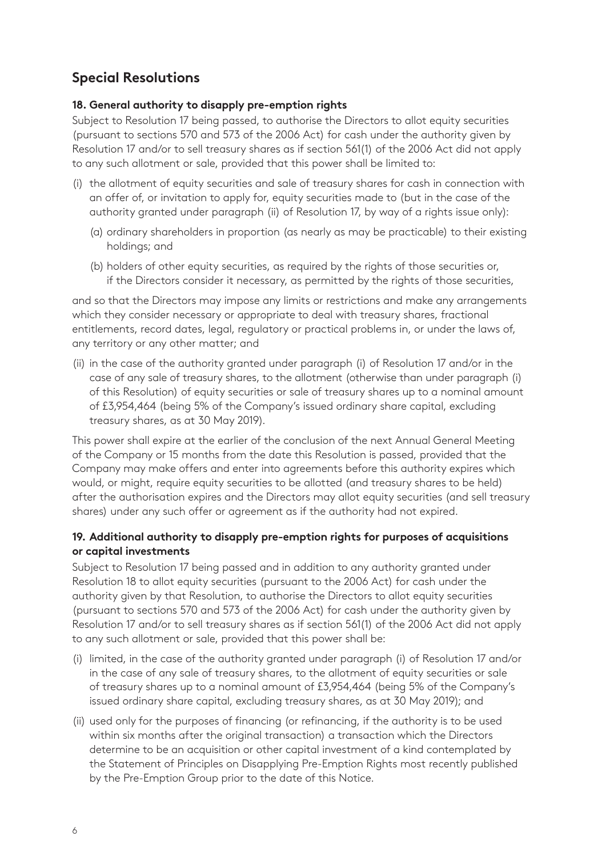# **Special Resolutions**

# **18. General authority to disapply pre-emption rights**

Subject to Resolution 17 being passed, to authorise the Directors to allot equity securities (pursuant to sections 570 and 573 of the 2006 Act) for cash under the authority given by Resolution 17 and/or to sell treasury shares as if section 561(1) of the 2006 Act did not apply to any such allotment or sale, provided that this power shall be limited to:

- (i) the allotment of equity securities and sale of treasury shares for cash in connection with an offer of, or invitation to apply for, equity securities made to (but in the case of the authority granted under paragraph (ii) of Resolution 17, by way of a rights issue only):
	- (a) ordinary shareholders in proportion (as nearly as may be practicable) to their existing holdings; and
	- (b) holders of other equity securities, as required by the rights of those securities or, if the Directors consider it necessary, as permitted by the rights of those securities,

and so that the Directors may impose any limits or restrictions and make any arrangements which they consider necessary or appropriate to deal with treasury shares, fractional entitlements, record dates, legal, regulatory or practical problems in, or under the laws of, any territory or any other matter; and

(ii) in the case of the authority granted under paragraph (i) of Resolution 17 and/or in the case of any sale of treasury shares, to the allotment (otherwise than under paragraph (i) of this Resolution) of equity securities or sale of treasury shares up to a nominal amount of £3,954,464 (being 5% of the Company's issued ordinary share capital, excluding treasury shares, as at 30 May 2019).

This power shall expire at the earlier of the conclusion of the next Annual General Meeting of the Company or 15 months from the date this Resolution is passed, provided that the Company may make offers and enter into agreements before this authority expires which would, or might, require equity securities to be allotted (and treasury shares to be held) after the authorisation expires and the Directors may allot equity securities (and sell treasury shares) under any such offer or agreement as if the authority had not expired.

# **19. Additional authority to disapply pre-emption rights for purposes of acquisitions or capital investments**

Subject to Resolution 17 being passed and in addition to any authority granted under Resolution 18 to allot equity securities (pursuant to the 2006 Act) for cash under the authority given by that Resolution, to authorise the Directors to allot equity securities (pursuant to sections 570 and 573 of the 2006 Act) for cash under the authority given by Resolution 17 and/or to sell treasury shares as if section 561(1) of the 2006 Act did not apply to any such allotment or sale, provided that this power shall be:

- (i) limited, in the case of the authority granted under paragraph (i) of Resolution 17 and/or in the case of any sale of treasury shares, to the allotment of equity securities or sale of treasury shares up to a nominal amount of £3,954,464 (being 5% of the Company's issued ordinary share capital, excluding treasury shares, as at 30 May 2019); and
- (ii) used only for the purposes of financing (or refinancing, if the authority is to be used within six months after the original transaction) a transaction which the Directors determine to be an acquisition or other capital investment of a kind contemplated by the Statement of Principles on Disapplying Pre-Emption Rights most recently published by the Pre-Emption Group prior to the date of this Notice.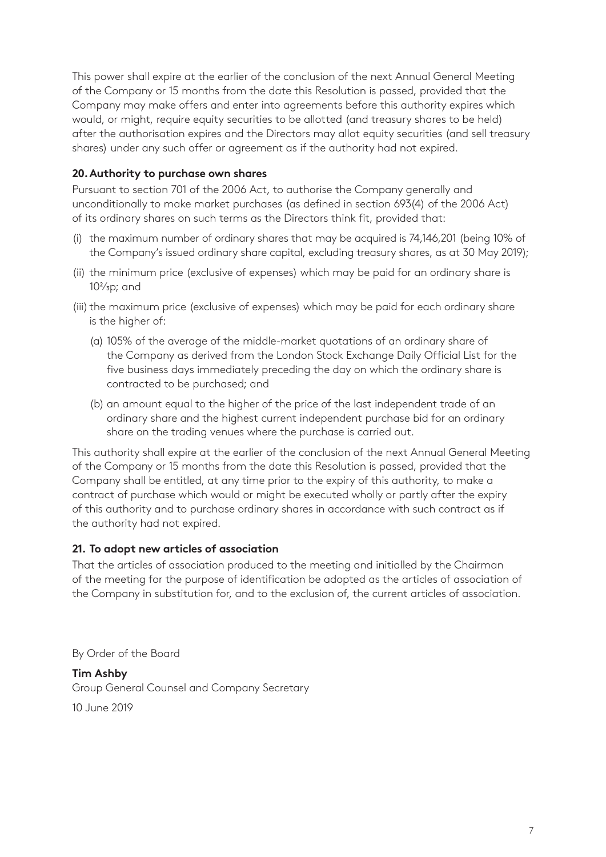This power shall expire at the earlier of the conclusion of the next Annual General Meeting of the Company or 15 months from the date this Resolution is passed, provided that the Company may make offers and enter into agreements before this authority expires which would, or might, require equity securities to be allotted (and treasury shares to be held) after the authorisation expires and the Directors may allot equity securities (and sell treasury shares) under any such offer or agreement as if the authority had not expired.

# **20.Authority to purchase own shares**

Pursuant to section 701 of the 2006 Act, to authorise the Company generally and unconditionally to make market purchases (as defined in section 693(4) of the 2006 Act) of its ordinary shares on such terms as the Directors think fit, provided that:

- (i) the maximum number of ordinary shares that may be acquired is 74,146,201 (being 10% of the Company's issued ordinary share capital, excluding treasury shares, as at 30 May 2019);
- (ii) the minimum price (exclusive of expenses) which may be paid for an ordinary share is  $10<sup>2</sup>/3p$ ; and
- (iii) the maximum price (exclusive of expenses) which may be paid for each ordinary share is the higher of:
	- (a) 105% of the average of the middle-market quotations of an ordinary share of the Company as derived from the London Stock Exchange Daily Official List for the five business days immediately preceding the day on which the ordinary share is contracted to be purchased; and
	- (b) an amount equal to the higher of the price of the last independent trade of an ordinary share and the highest current independent purchase bid for an ordinary share on the trading venues where the purchase is carried out.

This authority shall expire at the earlier of the conclusion of the next Annual General Meeting of the Company or 15 months from the date this Resolution is passed, provided that the Company shall be entitled, at any time prior to the expiry of this authority, to make a contract of purchase which would or might be executed wholly or partly after the expiry of this authority and to purchase ordinary shares in accordance with such contract as if the authority had not expired.

# **21. To adopt new articles of association**

That the articles of association produced to the meeting and initialled by the Chairman of the meeting for the purpose of identification be adopted as the articles of association of the Company in substitution for, and to the exclusion of, the current articles of association.

By Order of the Board

**Tim Ashby**  Group General Counsel and Company Secretary 10 June 2019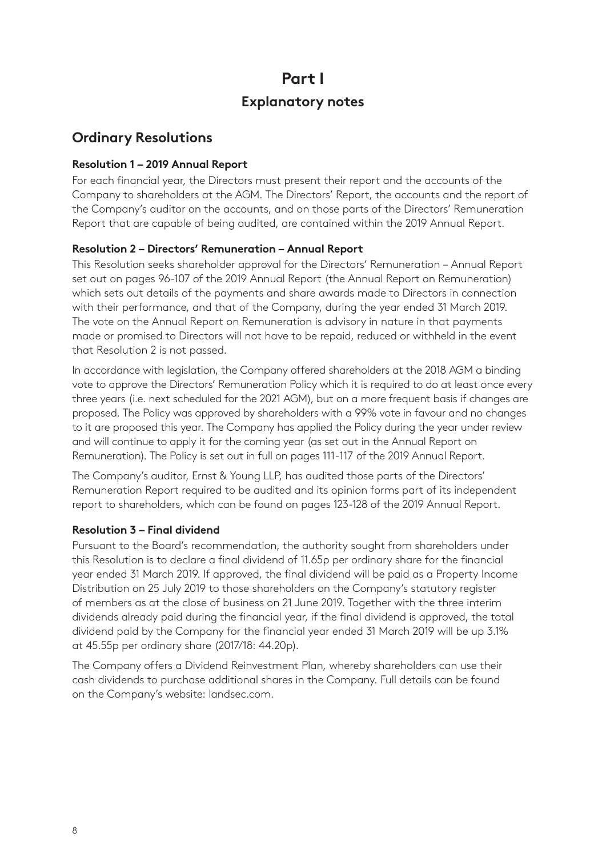# **Part I Explanatory notes**

# **Ordinary Resolutions**

# **Resolution 1 – 2019 Annual Report**

For each financial year, the Directors must present their report and the accounts of the Company to shareholders at the AGM. The Directors' Report, the accounts and the report of the Company's auditor on the accounts, and on those parts of the Directors' Remuneration Report that are capable of being audited, are contained within the 2019 Annual Report.

# **Resolution 2 – Directors' Remuneration – Annual Report**

This Resolution seeks shareholder approval for the Directors' Remuneration – Annual Report set out on pages 96-107 of the 2019 Annual Report (the Annual Report on Remuneration) which sets out details of the payments and share awards made to Directors in connection with their performance, and that of the Company, during the year ended 31 March 2019. The vote on the Annual Report on Remuneration is advisory in nature in that payments made or promised to Directors will not have to be repaid, reduced or withheld in the event that Resolution 2 is not passed.

In accordance with legislation, the Company offered shareholders at the 2018 AGM a binding vote to approve the Directors' Remuneration Policy which it is required to do at least once every three years (i.e. next scheduled for the 2021 AGM), but on a more frequent basis if changes are proposed. The Policy was approved by shareholders with a 99% vote in favour and no changes to it are proposed this year. The Company has applied the Policy during the year under review and will continue to apply it for the coming year (as set out in the Annual Report on Remuneration). The Policy is set out in full on pages 111-117 of the 2019 Annual Report.

The Company's auditor, Ernst & Young LLP, has audited those parts of the Directors' Remuneration Report required to be audited and its opinion forms part of its independent report to shareholders, which can be found on pages 123-128 of the 2019 Annual Report.

# **Resolution 3 – Final dividend**

Pursuant to the Board's recommendation, the authority sought from shareholders under this Resolution is to declare a final dividend of 11.65p per ordinary share for the financial year ended 31 March 2019. If approved, the final dividend will be paid as a Property Income Distribution on 25 July 2019 to those shareholders on the Company's statutory register of members as at the close of business on 21 June 2019. Together with the three interim dividends already paid during the financial year, if the final dividend is approved, the total dividend paid by the Company for the financial year ended 31 March 2019 will be up 3.1% at 45.55p per ordinary share (2017/18: 44.20p).

The Company offers a Dividend Reinvestment Plan, whereby shareholders can use their cash dividends to purchase additional shares in the Company. Full details can be found on the Company's website: landsec.com.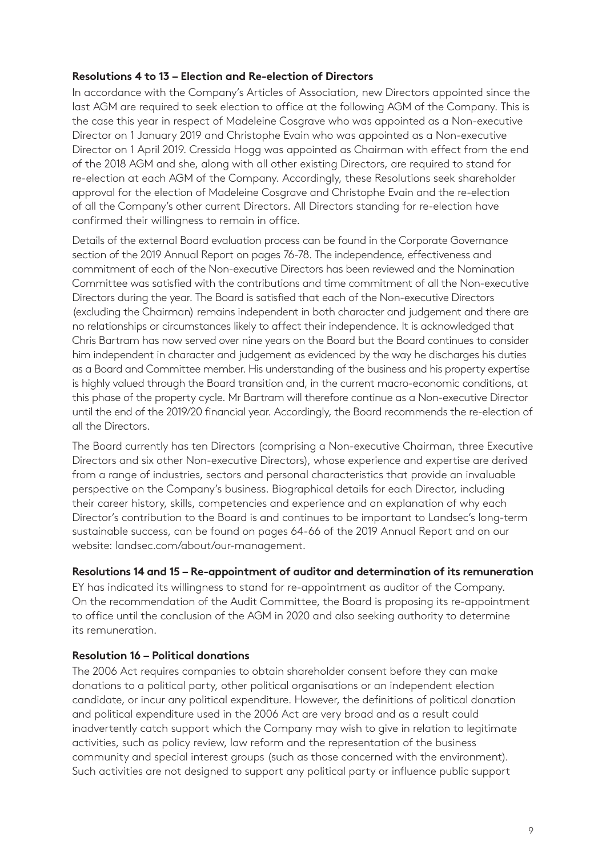### **Resolutions 4 to 13 – Election and Re-election of Directors**

In accordance with the Company's Articles of Association, new Directors appointed since the last AGM are required to seek election to office at the following AGM of the Company. This is the case this year in respect of Madeleine Cosgrave who was appointed as a Non-executive Director on 1 January 2019 and Christophe Evain who was appointed as a Non-executive Director on 1 April 2019. Cressida Hogg was appointed as Chairman with effect from the end of the 2018 AGM and she, along with all other existing Directors, are required to stand for re-election at each AGM of the Company. Accordingly, these Resolutions seek shareholder approval for the election of Madeleine Cosgrave and Christophe Evain and the re-election of all the Company's other current Directors. All Directors standing for re-election have confirmed their willingness to remain in office.

Details of the external Board evaluation process can be found in the Corporate Governance section of the 2019 Annual Report on pages 76-78. The independence, effectiveness and commitment of each of the Non-executive Directors has been reviewed and the Nomination Committee was satisfied with the contributions and time commitment of all the Non-executive Directors during the year. The Board is satisfied that each of the Non-executive Directors (excluding the Chairman) remains independent in both character and judgement and there are no relationships or circumstances likely to affect their independence. It is acknowledged that Chris Bartram has now served over nine years on the Board but the Board continues to consider him independent in character and judgement as evidenced by the way he discharges his duties as a Board and Committee member. His understanding of the business and his property expertise is highly valued through the Board transition and, in the current macro-economic conditions, at this phase of the property cycle. Mr Bartram will therefore continue as a Non-executive Director until the end of the 2019/20 financial year. Accordingly, the Board recommends the re-election of all the Directors.

The Board currently has ten Directors (comprising a Non-executive Chairman, three Executive Directors and six other Non-executive Directors), whose experience and expertise are derived from a range of industries, sectors and personal characteristics that provide an invaluable perspective on the Company's business. Biographical details for each Director, including their career history, skills, competencies and experience and an explanation of why each Director's contribution to the Board is and continues to be important to Landsec's long-term sustainable success, can be found on pages 64-66 of the 2019 Annual Report and on our website: landsec.com/about/our-management.

#### **Resolutions 14 and 15 – Re-appointment of auditor and determination of its remuneration**

EY has indicated its willingness to stand for re-appointment as auditor of the Company. On the recommendation of the Audit Committee, the Board is proposing its re-appointment to office until the conclusion of the AGM in 2020 and also seeking authority to determine its remuneration.

# **Resolution 16 – Political donations**

The 2006 Act requires companies to obtain shareholder consent before they can make donations to a political party, other political organisations or an independent election candidate, or incur any political expenditure. However, the definitions of political donation and political expenditure used in the 2006 Act are very broad and as a result could inadvertently catch support which the Company may wish to give in relation to legitimate activities, such as policy review, law reform and the representation of the business community and special interest groups (such as those concerned with the environment). Such activities are not designed to support any political party or influence public support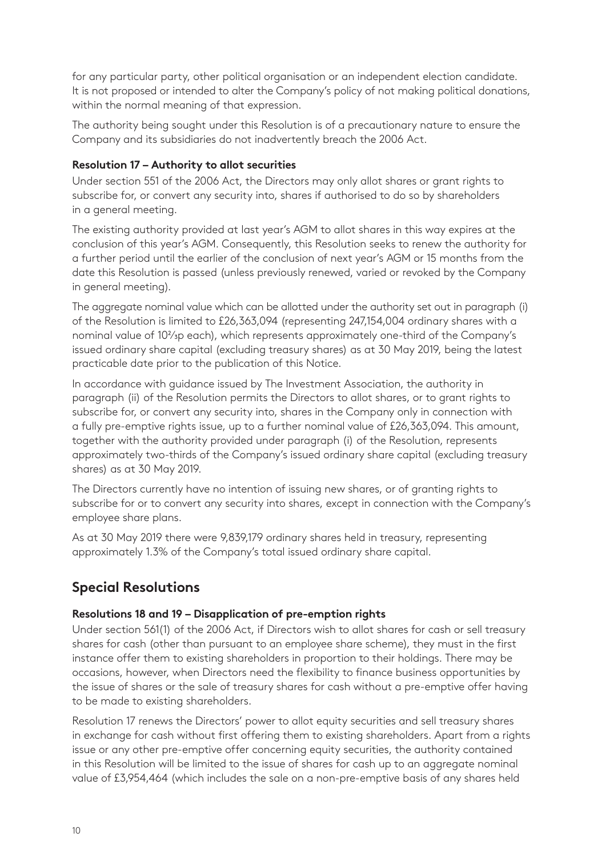for any particular party, other political organisation or an independent election candidate. It is not proposed or intended to alter the Company's policy of not making political donations, within the normal meaning of that expression.

The authority being sought under this Resolution is of a precautionary nature to ensure the Company and its subsidiaries do not inadvertently breach the 2006 Act.

### **Resolution 17 – Authority to allot securities**

Under section 551 of the 2006 Act, the Directors may only allot shares or grant rights to subscribe for, or convert any security into, shares if authorised to do so by shareholders in a general meeting.

The existing authority provided at last year's AGM to allot shares in this way expires at the conclusion of this year's AGM. Consequently, this Resolution seeks to renew the authority for a further period until the earlier of the conclusion of next year's AGM or 15 months from the date this Resolution is passed (unless previously renewed, varied or revoked by the Company in general meeting).

The aggregate nominal value which can be allotted under the authority set out in paragraph (i) of the Resolution is limited to £26,363,094 (representing 247,154,004 ordinary shares with a nominal value of 102/3p each), which represents approximately one-third of the Company's issued ordinary share capital (excluding treasury shares) as at 30 May 2019, being the latest practicable date prior to the publication of this Notice.

In accordance with guidance issued by The Investment Association, the authority in paragraph (ii) of the Resolution permits the Directors to allot shares, or to grant rights to subscribe for, or convert any security into, shares in the Company only in connection with a fully pre-emptive rights issue, up to a further nominal value of £26,363,094. This amount, together with the authority provided under paragraph (i) of the Resolution, represents approximately two-thirds of the Company's issued ordinary share capital (excluding treasury shares) as at 30 May 2019.

The Directors currently have no intention of issuing new shares, or of granting rights to subscribe for or to convert any security into shares, except in connection with the Company's employee share plans.

As at 30 May 2019 there were 9,839,179 ordinary shares held in treasury, representing approximately 1.3% of the Company's total issued ordinary share capital.

# **Special Resolutions**

# **Resolutions 18 and 19 – Disapplication of pre-emption rights**

Under section 561(1) of the 2006 Act, if Directors wish to allot shares for cash or sell treasury shares for cash (other than pursuant to an employee share scheme), they must in the first instance offer them to existing shareholders in proportion to their holdings. There may be occasions, however, when Directors need the flexibility to finance business opportunities by the issue of shares or the sale of treasury shares for cash without a pre-emptive offer having to be made to existing shareholders.

Resolution 17 renews the Directors' power to allot equity securities and sell treasury shares in exchange for cash without first offering them to existing shareholders. Apart from a rights issue or any other pre-emptive offer concerning equity securities, the authority contained in this Resolution will be limited to the issue of shares for cash up to an aggregate nominal value of £3,954,464 (which includes the sale on a non-pre-emptive basis of any shares held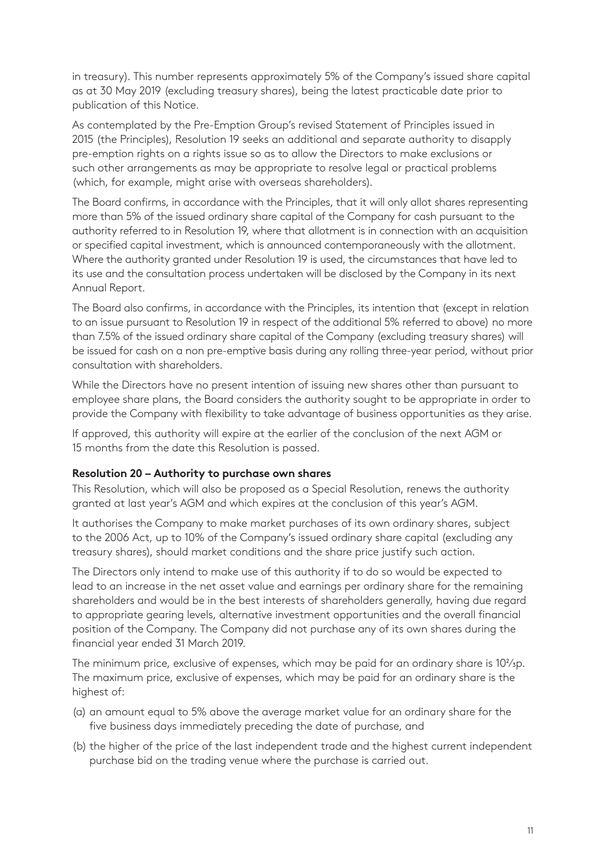in treasury). This number represents approximately 5% of the Company's issued share capital as at 30 May 2019 (excluding treasury shares), being the latest practicable date prior to publication of this Notice.

As contemplated by the Pre-Emption Group's revised Statement of Principles issued in 2015 (the Principles), Resolution 19 seeks an additional and separate authority to disapply pre-emption rights on a rights issue so as to allow the Directors to make exclusions or such other arrangements as may be appropriate to resolve legal or practical problems (which, for example, might arise with overseas shareholders).

The Board confirms, in accordance with the Principles, that it will only allot shares representing more than 5% of the issued ordinary share capital of the Company for cash pursuant to the authority referred to in Resolution 19, where that allotment is in connection with an acquisition or specified capital investment, which is announced contemporaneously with the allotment. Where the authority granted under Resolution 19 is used, the circumstances that have led to its use and the consultation process undertaken will be disclosed by the Company in its next Annual Report.

The Board also confirms, in accordance with the Principles, its intention that (except in relation to an issue pursuant to Resolution 19 in respect of the additional 5% referred to above) no more than 7.5% of the issued ordinary share capital of the Company (excluding treasury shares) will be issued for cash on a non pre-emptive basis during any rolling three-year period, without prior consultation with shareholders.

While the Directors have no present intention of issuing new shares other than pursuant to employee share plans, the Board considers the authority sought to be appropriate in order to provide the Company with flexibility to take advantage of business opportunities as they arise.

If approved, this authority will expire at the earlier of the conclusion of the next AGM or 15 months from the date this Resolution is passed.

#### **Resolution 20 – Authority to purchase own shares**

This Resolution, which will also be proposed as a Special Resolution, renews the authority granted at last year's AGM and which expires at the conclusion of this year's AGM.

It authorises the Company to make market purchases of its own ordinary shares, subject to the 2006 Act, up to 10% of the Company's issued ordinary share capital (excluding any treasury shares), should market conditions and the share price justify such action.

The Directors only intend to make use of this authority if to do so would be expected to lead to an increase in the net asset value and earnings per ordinary share for the remaining shareholders and would be in the best interests of shareholders generally, having due regard to appropriate gearing levels, alternative investment opportunities and the overall financial position of the Company. The Company did not purchase any of its own shares during the financial year ended 31 March 2019.

The minimum price, exclusive of expenses, which may be paid for an ordinary share is 10<sup>2</sup>/<sub>3</sub>p. The maximum price, exclusive of expenses, which may be paid for an ordinary share is the highest of:

- (a) an amount equal to 5% above the average market value for an ordinary share for the five business days immediately preceding the date of purchase, and
- (b) the higher of the price of the last independent trade and the highest current independent purchase bid on the trading venue where the purchase is carried out.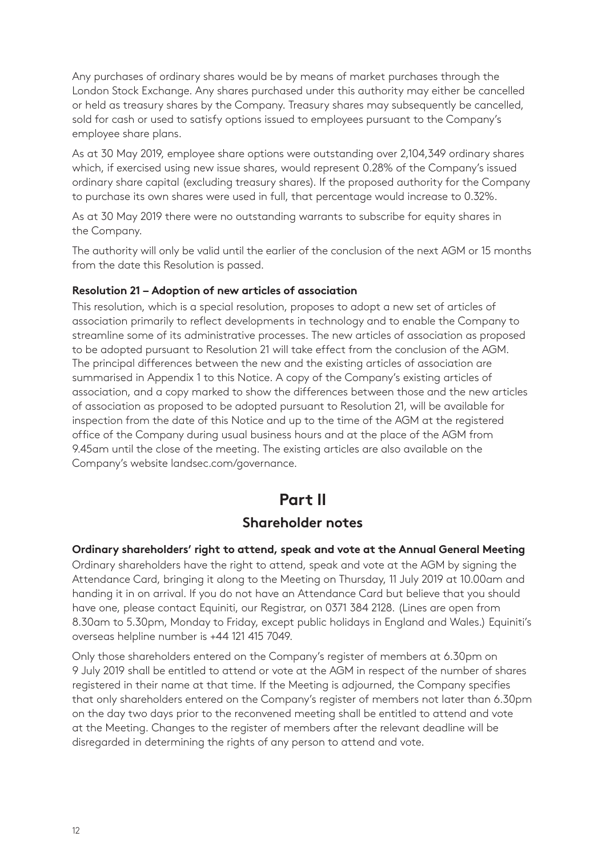Any purchases of ordinary shares would be by means of market purchases through the London Stock Exchange. Any shares purchased under this authority may either be cancelled or held as treasury shares by the Company. Treasury shares may subsequently be cancelled, sold for cash or used to satisfy options issued to employees pursuant to the Company's employee share plans.

As at 30 May 2019, employee share options were outstanding over 2,104,349 ordinary shares which, if exercised using new issue shares, would represent 0.28% of the Company's issued ordinary share capital (excluding treasury shares). If the proposed authority for the Company to purchase its own shares were used in full, that percentage would increase to 0.32%.

As at 30 May 2019 there were no outstanding warrants to subscribe for equity shares in the Company.

The authority will only be valid until the earlier of the conclusion of the next AGM or 15 months from the date this Resolution is passed.

#### **Resolution 21 – Adoption of new articles of association**

This resolution, which is a special resolution, proposes to adopt a new set of articles of association primarily to reflect developments in technology and to enable the Company to streamline some of its administrative processes. The new articles of association as proposed to be adopted pursuant to Resolution 21 will take effect from the conclusion of the AGM. The principal differences between the new and the existing articles of association are summarised in Appendix 1 to this Notice. A copy of the Company's existing articles of association, and a copy marked to show the differences between those and the new articles of association as proposed to be adopted pursuant to Resolution 21, will be available for inspection from the date of this Notice and up to the time of the AGM at the registered office of the Company during usual business hours and at the place of the AGM from 9.45am until the close of the meeting. The existing articles are also available on the Company's website landsec.com/governance.

# **Part II**

# **Shareholder notes**

#### **Ordinary shareholders' right to attend, speak and vote at the Annual General Meeting**

Ordinary shareholders have the right to attend, speak and vote at the AGM by signing the Attendance Card, bringing it along to the Meeting on Thursday, 11 July 2019 at 10.00am and handing it in on arrival. If you do not have an Attendance Card but believe that you should have one, please contact Equiniti, our Registrar, on 0371 384 2128. (Lines are open from 8.30am to 5.30pm, Monday to Friday, except public holidays in England and Wales.) Equiniti's overseas helpline number is +44 121 415 7049.

Only those shareholders entered on the Company's register of members at 6.30pm on 9 July 2019 shall be entitled to attend or vote at the AGM in respect of the number of shares registered in their name at that time. If the Meeting is adjourned, the Company specifies that only shareholders entered on the Company's register of members not later than 6.30pm on the day two days prior to the reconvened meeting shall be entitled to attend and vote at the Meeting. Changes to the register of members after the relevant deadline will be disregarded in determining the rights of any person to attend and vote.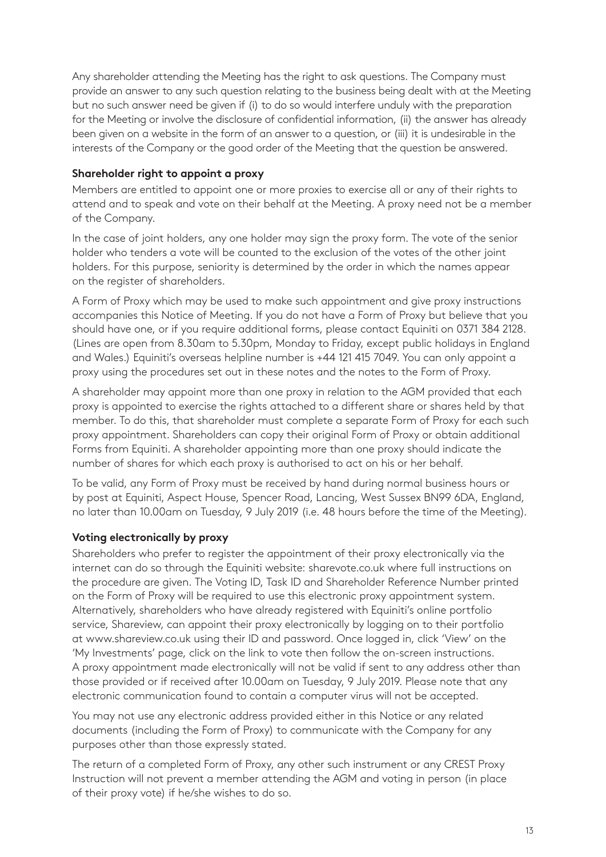Any shareholder attending the Meeting has the right to ask questions. The Company must provide an answer to any such question relating to the business being dealt with at the Meeting but no such answer need be given if (i) to do so would interfere unduly with the preparation for the Meeting or involve the disclosure of confidential information, (ii) the answer has already been given on a website in the form of an answer to a question, or (iii) it is undesirable in the interests of the Company or the good order of the Meeting that the question be answered.

### **Shareholder right to appoint a proxy**

Members are entitled to appoint one or more proxies to exercise all or any of their rights to attend and to speak and vote on their behalf at the Meeting. A proxy need not be a member of the Company.

In the case of joint holders, any one holder may sign the proxy form. The vote of the senior holder who tenders a vote will be counted to the exclusion of the votes of the other joint holders. For this purpose, seniority is determined by the order in which the names appear on the register of shareholders.

A Form of Proxy which may be used to make such appointment and give proxy instructions accompanies this Notice of Meeting. If you do not have a Form of Proxy but believe that you should have one, or if you require additional forms, please contact Equiniti on 0371 384 2128. (Lines are open from 8.30am to 5.30pm, Monday to Friday, except public holidays in England and Wales.) Equiniti's overseas helpline number is +44 121 415 7049. You can only appoint a proxy using the procedures set out in these notes and the notes to the Form of Proxy.

A shareholder may appoint more than one proxy in relation to the AGM provided that each proxy is appointed to exercise the rights attached to a different share or shares held by that member. To do this, that shareholder must complete a separate Form of Proxy for each such proxy appointment. Shareholders can copy their original Form of Proxy or obtain additional Forms from Equiniti. A shareholder appointing more than one proxy should indicate the number of shares for which each proxy is authorised to act on his or her behalf.

To be valid, any Form of Proxy must be received by hand during normal business hours or by post at Equiniti, Aspect House, Spencer Road, Lancing, West Sussex BN99 6DA, England, no later than 10.00am on Tuesday, 9 July 2019 (i.e. 48 hours before the time of the Meeting).

# **Voting electronically by proxy**

Shareholders who prefer to register the appointment of their proxy electronically via the internet can do so through the Equiniti website: sharevote.co.uk where full instructions on the procedure are given. The Voting ID, Task ID and Shareholder Reference Number printed on the Form of Proxy will be required to use this electronic proxy appointment system. Alternatively, shareholders who have already registered with Equiniti's online portfolio service, Shareview, can appoint their proxy electronically by logging on to their portfolio at www.shareview.co.uk using their ID and password. Once logged in, click 'View' on the 'My Investments' page, click on the link to vote then follow the on-screen instructions. A proxy appointment made electronically will not be valid if sent to any address other than those provided or if received after 10.00am on Tuesday, 9 July 2019. Please note that any electronic communication found to contain a computer virus will not be accepted.

You may not use any electronic address provided either in this Notice or any related documents (including the Form of Proxy) to communicate with the Company for any purposes other than those expressly stated.

The return of a completed Form of Proxy, any other such instrument or any CREST Proxy Instruction will not prevent a member attending the AGM and voting in person (in place of their proxy vote) if he/she wishes to do so.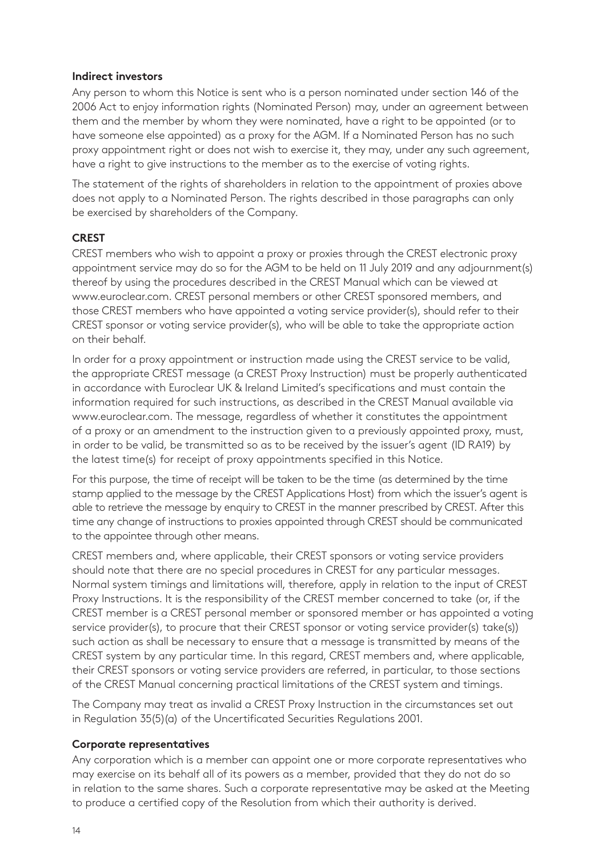#### **Indirect investors**

Any person to whom this Notice is sent who is a person nominated under section 146 of the 2006 Act to enjoy information rights (Nominated Person) may, under an agreement between them and the member by whom they were nominated, have a right to be appointed (or to have someone else appointed) as a proxy for the AGM. If a Nominated Person has no such proxy appointment right or does not wish to exercise it, they may, under any such agreement, have a right to give instructions to the member as to the exercise of voting rights.

The statement of the rights of shareholders in relation to the appointment of proxies above does not apply to a Nominated Person. The rights described in those paragraphs can only be exercised by shareholders of the Company.

#### **CREST**

CREST members who wish to appoint a proxy or proxies through the CREST electronic proxy appointment service may do so for the AGM to be held on 11 July 2019 and any adjournment(s) thereof by using the procedures described in the CREST Manual which can be viewed at www.euroclear.com. CREST personal members or other CREST sponsored members, and those CREST members who have appointed a voting service provider(s), should refer to their CREST sponsor or voting service provider(s), who will be able to take the appropriate action on their behalf.

In order for a proxy appointment or instruction made using the CREST service to be valid, the appropriate CREST message (a CREST Proxy Instruction) must be properly authenticated in accordance with Euroclear UK & Ireland Limited's specifications and must contain the information required for such instructions, as described in the CREST Manual available via www.euroclear.com. The message, regardless of whether it constitutes the appointment of a proxy or an amendment to the instruction given to a previously appointed proxy, must, in order to be valid, be transmitted so as to be received by the issuer's agent (ID RA19) by the latest time(s) for receipt of proxy appointments specified in this Notice.

For this purpose, the time of receipt will be taken to be the time (as determined by the time stamp applied to the message by the CREST Applications Host) from which the issuer's agent is able to retrieve the message by enquiry to CREST in the manner prescribed by CREST. After this time any change of instructions to proxies appointed through CREST should be communicated to the appointee through other means.

CREST members and, where applicable, their CREST sponsors or voting service providers should note that there are no special procedures in CREST for any particular messages. Normal system timings and limitations will, therefore, apply in relation to the input of CREST Proxy Instructions. It is the responsibility of the CREST member concerned to take (or, if the CREST member is a CREST personal member or sponsored member or has appointed a voting service provider(s), to procure that their CREST sponsor or voting service provider(s) take(s)) such action as shall be necessary to ensure that a message is transmitted by means of the CREST system by any particular time. In this regard, CREST members and, where applicable, their CREST sponsors or voting service providers are referred, in particular, to those sections of the CREST Manual concerning practical limitations of the CREST system and timings.

The Company may treat as invalid a CREST Proxy Instruction in the circumstances set out in Regulation 35(5)(a) of the Uncertificated Securities Regulations 2001.

#### **Corporate representatives**

Any corporation which is a member can appoint one or more corporate representatives who may exercise on its behalf all of its powers as a member, provided that they do not do so in relation to the same shares. Such a corporate representative may be asked at the Meeting to produce a certified copy of the Resolution from which their authority is derived.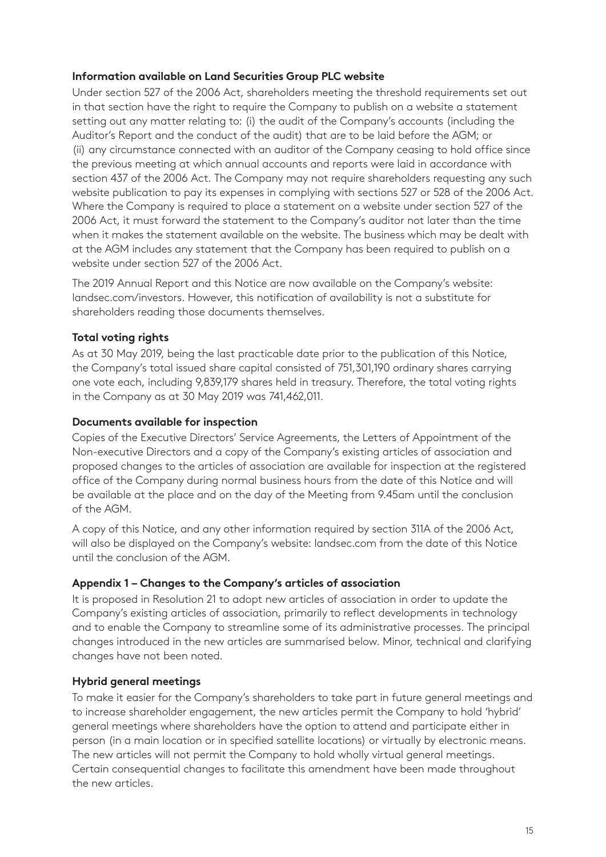## **Information available on Land Securities Group PLC website**

Under section 527 of the 2006 Act, shareholders meeting the threshold requirements set out in that section have the right to require the Company to publish on a website a statement setting out any matter relating to: (i) the audit of the Company's accounts (including the Auditor's Report and the conduct of the audit) that are to be laid before the AGM; or (ii) any circumstance connected with an auditor of the Company ceasing to hold office since the previous meeting at which annual accounts and reports were laid in accordance with section 437 of the 2006 Act. The Company may not require shareholders requesting any such website publication to pay its expenses in complying with sections 527 or 528 of the 2006 Act. Where the Company is required to place a statement on a website under section 527 of the 2006 Act, it must forward the statement to the Company's auditor not later than the time when it makes the statement available on the website. The business which may be dealt with at the AGM includes any statement that the Company has been required to publish on a website under section 527 of the 2006 Act.

The 2019 Annual Report and this Notice are now available on the Company's website: landsec.com/investors. However, this notification of availability is not a substitute for shareholders reading those documents themselves.

# **Total voting rights**

As at 30 May 2019, being the last practicable date prior to the publication of this Notice, the Company's total issued share capital consisted of 751,301,190 ordinary shares carrying one vote each, including 9,839,179 shares held in treasury. Therefore, the total voting rights in the Company as at 30 May 2019 was 741,462,011.

## **Documents available for inspection**

Copies of the Executive Directors' Service Agreements, the Letters of Appointment of the Non-executive Directors and a copy of the Company's existing articles of association and proposed changes to the articles of association are available for inspection at the registered office of the Company during normal business hours from the date of this Notice and will be available at the place and on the day of the Meeting from 9.45am until the conclusion of the AGM.

A copy of this Notice, and any other information required by section 311A of the 2006 Act, will also be displayed on the Company's website: landsec.com from the date of this Notice until the conclusion of the AGM.

# **Appendix 1 – Changes to the Company's articles of association**

It is proposed in Resolution 21 to adopt new articles of association in order to update the Company's existing articles of association, primarily to reflect developments in technology and to enable the Company to streamline some of its administrative processes. The principal changes introduced in the new articles are summarised below. Minor, technical and clarifying changes have not been noted.

# **Hybrid general meetings**

To make it easier for the Company's shareholders to take part in future general meetings and to increase shareholder engagement, the new articles permit the Company to hold 'hybrid' general meetings where shareholders have the option to attend and participate either in person (in a main location or in specified satellite locations) or virtually by electronic means. The new articles will not permit the Company to hold wholly virtual general meetings. Certain consequential changes to facilitate this amendment have been made throughout the new articles.